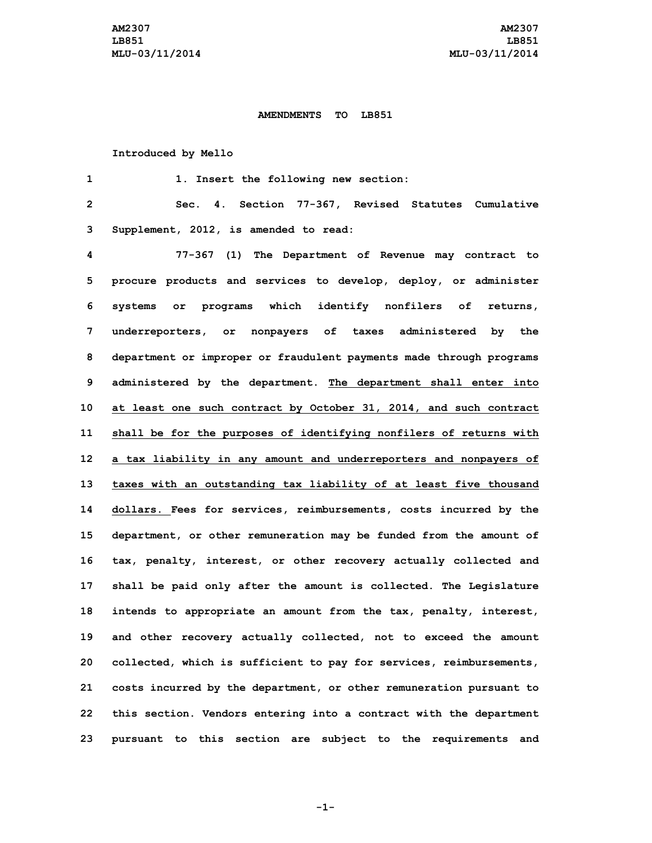## **AMENDMENTS TO LB851**

## **Introduced by Mello**

 **1. Insert the following new section: Sec. 4. Section 77-367, Revised Statutes Cumulative Supplement, 2012, is amended to read: 77-367 (1) The Department of Revenue may contract to procure products and services to develop, deploy, or administer systems or programs which identify nonfilers of returns, underreporters, or nonpayers of taxes administered by the department or improper or fraudulent payments made through programs administered by the department. The department shall enter into at least one such contract by October 31, 2014, and such contract shall be for the purposes of identifying nonfilers of returns with <sup>a</sup> tax liability in any amount and underreporters and nonpayers of taxes with an outstanding tax liability of at least five thousand dollars. Fees for services, reimbursements, costs incurred by the department, or other remuneration may be funded from the amount of tax, penalty, interest, or other recovery actually collected and shall be paid only after the amount is collected. The Legislature intends to appropriate an amount from the tax, penalty, interest, and other recovery actually collected, not to exceed the amount collected, which is sufficient to pay for services, reimbursements, costs incurred by the department, or other remuneration pursuant to this section. Vendors entering into <sup>a</sup> contract with the department pursuant to this section are subject to the requirements and**

**-1-**